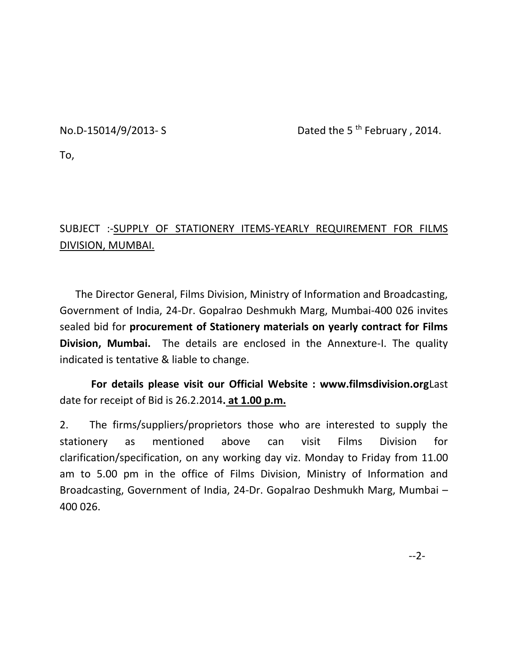No.D-15014/9/2013- S Dated the 5<sup>th</sup> February, 2014.

To,

## SUBJECT :-SUPPLY OF STATIONERY ITEMS-YEARLY REQUIREMENT FOR FILMS DIVISION, MUMBAI.

 The Director General, Films Division, Ministry of Information and Broadcasting, Government of India, 24-Dr. Gopalrao Deshmukh Marg, Mumbai-400 026 invites sealed bid for **procurement of Stationery materials on yearly contract for Films Division, Mumbai.** The details are enclosed in the Annexture-I. The quality indicated is tentative & liable to change.

 **For details please visit our Official Website : www.filmsdivision.org**Last date for receipt of Bid is 26.2.2014**. at 1.00 p.m.**

2. The firms/suppliers/proprietors those who are interested to supply the stationery as mentioned above can visit Films Division for clarification/specification, on any working day viz. Monday to Friday from 11.00 am to 5.00 pm in the office of Films Division, Ministry of Information and Broadcasting, Government of India, 24-Dr. Gopalrao Deshmukh Marg, Mumbai – 400 026.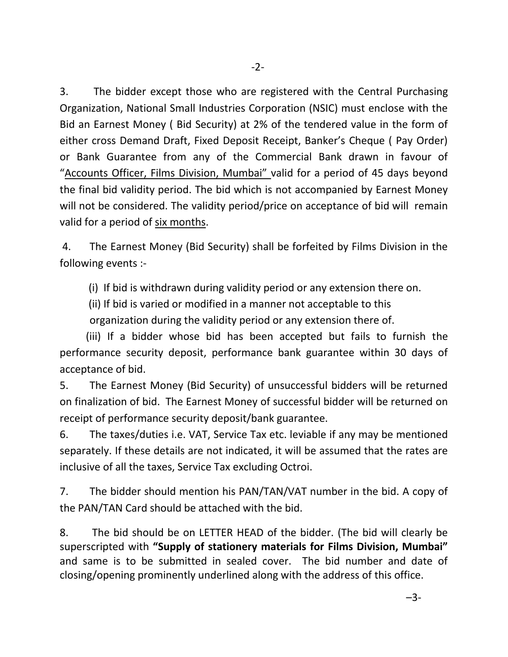3. The bidder except those who are registered with the Central Purchasing Organization, National Small Industries Corporation (NSIC) must enclose with the Bid an Earnest Money ( Bid Security) at 2% of the tendered value in the form of either cross Demand Draft, Fixed Deposit Receipt, Banker's Cheque ( Pay Order) or Bank Guarantee from any of the Commercial Bank drawn in favour of "Accounts Officer, Films Division, Mumbai" valid for a period of 45 days beyond the final bid validity period. The bid which is not accompanied by Earnest Money will not be considered. The validity period/price on acceptance of bid will remain valid for a period of six months.

4. The Earnest Money (Bid Security) shall be forfeited by Films Division in the following events :-

(i) If bid is withdrawn during validity period or any extension there on.

(ii) If bid is varied or modified in a manner not acceptable to this

organization during the validity period or any extension there of.

 (iii) If a bidder whose bid has been accepted but fails to furnish the performance security deposit, performance bank guarantee within 30 days of acceptance of bid.

5. The Earnest Money (Bid Security) of unsuccessful bidders will be returned on finalization of bid. The Earnest Money of successful bidder will be returned on receipt of performance security deposit/bank guarantee.

6. The taxes/duties i.e. VAT, Service Tax etc. leviable if any may be mentioned separately. If these details are not indicated, it will be assumed that the rates are inclusive of all the taxes, Service Tax excluding Octroi.

7. The bidder should mention his PAN/TAN/VAT number in the bid. A copy of the PAN/TAN Card should be attached with the bid.

8. The bid should be on LETTER HEAD of the bidder. (The bid will clearly be superscripted with **"Supply of stationery materials for Films Division, Mumbai"** and same is to be submitted in sealed cover. The bid number and date of closing/opening prominently underlined along with the address of this office.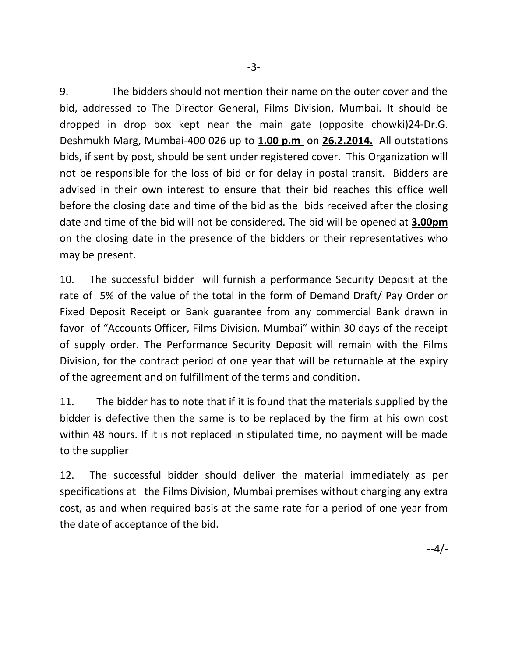9. The bidders should not mention their name on the outer cover and the bid, addressed to The Director General, Films Division, Mumbai. It should be dropped in drop box kept near the main gate (opposite chowki)24-Dr.G. Deshmukh Marg, Mumbai-400 026 up to **1.00 p.m** on **26.2.2014.** All outstations bids, if sent by post, should be sent under registered cover. This Organization will not be responsible for the loss of bid or for delay in postal transit. Bidders are advised in their own interest to ensure that their bid reaches this office well before the closing date and time of the bid as the bids received after the closing date and time of the bid will not be considered. The bid will be opened at **3.00pm** on the closing date in the presence of the bidders or their representatives who may be present.

10. The successful bidder will furnish a performance Security Deposit at the rate of 5% of the value of the total in the form of Demand Draft/ Pay Order or Fixed Deposit Receipt or Bank guarantee from any commercial Bank drawn in favor of "Accounts Officer, Films Division, Mumbai" within 30 days of the receipt of supply order. The Performance Security Deposit will remain with the Films Division, for the contract period of one year that will be returnable at the expiry of the agreement and on fulfillment of the terms and condition.

11. The bidder has to note that if it is found that the materials supplied by the bidder is defective then the same is to be replaced by the firm at his own cost within 48 hours. If it is not replaced in stipulated time, no payment will be made to the supplier

12. The successful bidder should deliver the material immediately as per specifications at the Films Division, Mumbai premises without charging any extra cost, as and when required basis at the same rate for a period of one year from the date of acceptance of the bid.

--4/-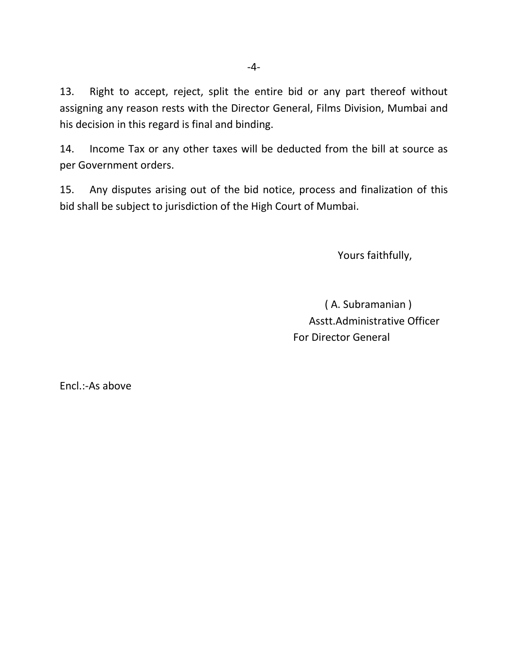13. Right to accept, reject, split the entire bid or any part thereof without assigning any reason rests with the Director General, Films Division, Mumbai and his decision in this regard is final and binding.

14. Income Tax or any other taxes will be deducted from the bill at source as per Government orders.

15. Any disputes arising out of the bid notice, process and finalization of this bid shall be subject to jurisdiction of the High Court of Mumbai.

Yours faithfully,

 ( A. Subramanian ) Asstt.Administrative Officer For Director General

Encl.:-As above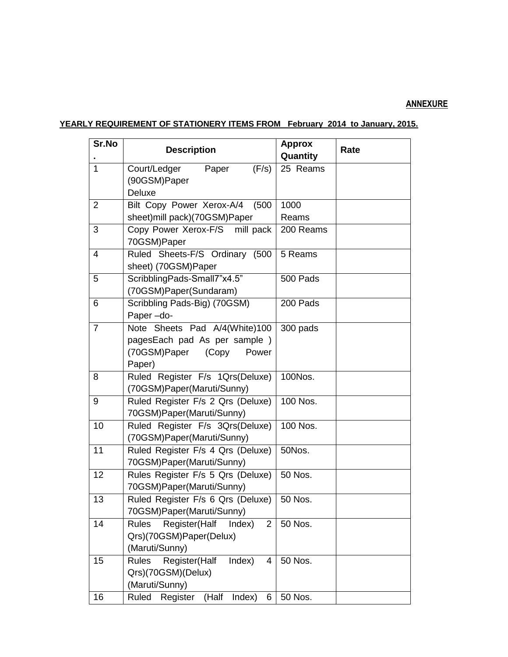## **ANNEXURE**

## **YEARLY REQUIREMENT OF STATIONERY ITEMS FROM February 2014 to January, 2015.**

| Sr.No          | <b>Description</b>                                                                                        | <b>Approx</b><br>Quantity | Rate |
|----------------|-----------------------------------------------------------------------------------------------------------|---------------------------|------|
| $\mathbf{1}$   | Court/Ledger<br>Paper<br>(F/s)<br>(90GSM)Paper<br><b>Deluxe</b>                                           | 25 Reams                  |      |
| $\overline{2}$ | Bilt Copy Power Xerox-A/4<br>(500)<br>sheet)mill pack)(70GSM)Paper                                        | 1000<br>Reams             |      |
| 3              | Copy Power Xerox-F/S mill pack<br>70GSM)Paper                                                             | 200 Reams                 |      |
| 4              | Ruled Sheets-F/S Ordinary (500<br>sheet) (70GSM)Paper                                                     | 5 Reams                   |      |
| 5              | ScribblingPads-Small7"x4.5"<br>(70GSM)Paper(Sundaram)                                                     | 500 Pads                  |      |
| 6              | Scribbling Pads-Big) (70GSM)<br>Paper-do-                                                                 | 200 Pads                  |      |
| $\overline{7}$ | Note Sheets Pad A/4(White)100<br>pagesEach pad As per sample)<br>(70GSM)Paper<br>(Copy<br>Power<br>Paper) | 300 pads                  |      |
| 8              | Ruled Register F/s 1Qrs(Deluxe)<br>(70GSM)Paper(Maruti/Sunny)                                             | 100Nos.                   |      |
| 9              | Ruled Register F/s 2 Qrs (Deluxe)<br>70GSM)Paper(Maruti/Sunny)                                            | 100 Nos.                  |      |
| 10             | Ruled Register F/s 3Qrs(Deluxe)<br>(70GSM)Paper(Maruti/Sunny)                                             | 100 Nos.                  |      |
| 11             | Ruled Register F/s 4 Qrs (Deluxe)<br>70GSM)Paper(Maruti/Sunny)                                            | 50Nos.                    |      |
| 12             | Rules Register F/s 5 Qrs (Deluxe)<br>70GSM)Paper(Maruti/Sunny)                                            | 50 Nos.                   |      |
| 13             | Ruled Register F/s 6 Qrs (Deluxe)<br>70GSM)Paper(Maruti/Sunny)                                            | 50 Nos.                   |      |
| 14             | Register(Half<br>$\overline{2}$<br><b>Rules</b><br>Index)<br>Qrs)(70GSM)Paper(Delux)<br>(Maruti/Sunny)    | 50 Nos.                   |      |
| 15             | Index)<br><b>Rules</b><br>Register(Half<br>4<br>Qrs)(70GSM)(Delux)<br>(Maruti/Sunny)                      | 50 Nos.                   |      |
| 16             | Ruled<br>Register<br>(Half<br>Index)<br>6                                                                 | 50 Nos.                   |      |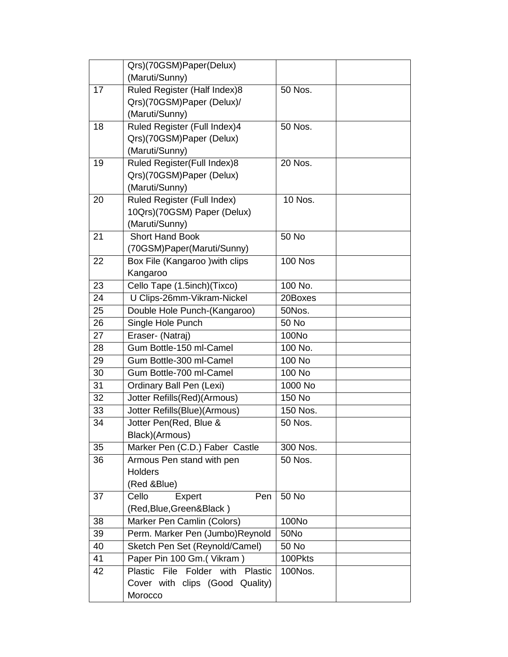|    | Qrs)(70GSM)Paper(Delux)            |                |  |
|----|------------------------------------|----------------|--|
|    | (Maruti/Sunny)                     |                |  |
| 17 | Ruled Register (Half Index)8       | 50 Nos.        |  |
|    | Qrs)(70GSM)Paper (Delux)/          |                |  |
|    | (Maruti/Sunny)                     |                |  |
| 18 | Ruled Register (Full Index)4       | 50 Nos.        |  |
|    | Qrs)(70GSM)Paper (Delux)           |                |  |
|    | (Maruti/Sunny)                     |                |  |
| 19 | Ruled Register(Full Index)8        | 20 Nos.        |  |
|    | Qrs)(70GSM)Paper (Delux)           |                |  |
|    | (Maruti/Sunny)                     |                |  |
| 20 | <b>Ruled Register (Full Index)</b> | 10 Nos.        |  |
|    | 10Qrs)(70GSM) Paper (Delux)        |                |  |
|    | (Maruti/Sunny)                     |                |  |
| 21 | <b>Short Hand Book</b>             | 50 No          |  |
|    | (70GSM)Paper(Maruti/Sunny)         |                |  |
| 22 | Box File (Kangaroo ) with clips    | <b>100 Nos</b> |  |
|    | Kangaroo                           |                |  |
| 23 | Cello Tape (1.5inch)(Tixco)        | 100 No.        |  |
| 24 | U Clips-26mm-Vikram-Nickel         | 20Boxes        |  |
| 25 | Double Hole Punch-(Kangaroo)       | 50Nos.         |  |
| 26 | Single Hole Punch                  | 50 No          |  |
| 27 | Eraser- (Natraj)                   | 100No          |  |
| 28 | Gum Bottle-150 ml-Camel            | 100 No.        |  |
| 29 | Gum Bottle-300 ml-Camel            | 100 No         |  |
| 30 | Gum Bottle-700 ml-Camel            | 100 No         |  |
| 31 | Ordinary Ball Pen (Lexi)           | 1000 No        |  |
| 32 | Jotter Refills(Red)(Armous)        | 150 No         |  |
| 33 | Jotter Refills(Blue)(Armous)       | 150 Nos.       |  |
| 34 | Jotter Pen(Red, Blue &             | 50 Nos.        |  |
|    | Black)(Armous)                     |                |  |
| 35 | Marker Pen (C.D.) Faber Castle     | 300 Nos.       |  |
| 36 | Armous Pen stand with pen          | 50 Nos.        |  |
|    | <b>Holders</b>                     |                |  |
|    | (Red &Blue)                        |                |  |
| 37 | Cello<br>Expert<br>Pen             | 50 No          |  |
|    | (Red, Blue, Green& Black)          |                |  |
| 38 | Marker Pen Camlin (Colors)         | 100No          |  |
| 39 | Perm. Marker Pen (Jumbo)Reynold    | <b>50No</b>    |  |
| 40 | Sketch Pen Set (Reynold/Camel)     | 50 No          |  |
| 41 | Paper Pin 100 Gm.(Vikram)          | 100Pkts        |  |
| 42 | Plastic File Folder with Plastic   | 100Nos.        |  |
|    | Cover with clips (Good Quality)    |                |  |
|    | Morocco                            |                |  |